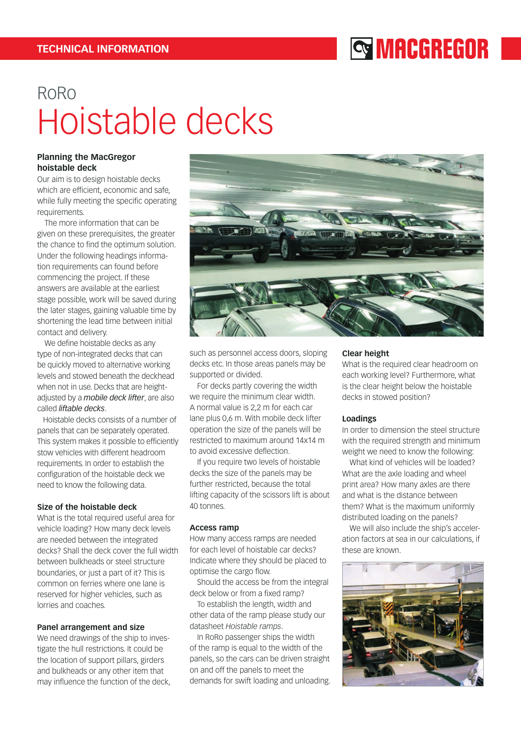## **SMACGREGOR**

# RoRo Hoistable decks

## **Planning the MacGregor hoistable deck**

Our aim is to design hoistable decks which are efficient, economic and safe, while fully meeting the specific operating requirements.

The more information that can be given on these prerequisites, the greater the chance to find the optimum solution. Under the following headings information requirements can found before commencing the project. If these answers are available at the earliest stage possible, work will be saved during the later stages, gaining valuable time by shortening the lead time between initial contact and delivery.

We define hoistable decks as any type of non-integrated decks that can be quickly moved to alternative working levels and stowed beneath the deckhead when not in use. Decks that are heightadjusted by a *mobile deck lifter*, are also called *liftable decks*.

 Hoistable decks consists of a number of panels that can be separately operated. This system makes it possible to efficiently stow vehicles with different headroom requirements. In order to establish the configuration of the hoistable deck we need to know the following data.

## **Size of the hoistable deck**

What is the total required useful area for vehicle loading? How many deck levels are needed between the integrated decks? Shall the deck cover the full width between bulkheads or steel structure boundaries, or just a part of it? This is common on ferries where one lane is reserved for higher vehicles, such as lorries and coaches.

## **Panel arrangement and size**

We need drawings of the ship to investigate the hull restrictions. It could be the location of support pillars, girders and bulkheads or any other item that may influence the function of the deck,



such as personnel access doors, sloping decks etc. In those areas panels may be supported or divided.

For decks partly covering the width we require the minimum clear width. A normal value is 2,2 m for each car lane plus 0,6 m. With mobile deck lifter operation the size of the panels will be restricted to maximum around 14x14 m to avoid excessive deflection.

If you require two levels of hoistable decks the size of the panels may be further restricted, because the total lifting capacity of the scissors lift is about 40 tonnes.

## **Access ramp**

How many access ramps are needed for each level of hoistable car decks? Indicate where they should be placed to optimise the cargo flow.

Should the access be from the integral deck below or from a fixed ramp?

To establish the length, width and other data of the ramp please study our datasheet *Hoistable ramps*.

In RoRo passenger ships the width of the ramp is equal to the width of the panels, so the cars can be driven straight on and off the panels to meet the demands for swift loading and unloading.

## **Clear height**

What is the required clear headroom on each working level? Furthermore, what is the clear height below the hoistable decks in stowed position?

## **Loadings**

In order to dimension the steel structure with the required strength and minimum weight we need to know the following:

What kind of vehicles will be loaded? What are the axle loading and wheel print area? How many axles are there and what is the distance between them? What is the maximum uniformly distributed loading on the panels?

We will also include the ship's acceleration factors at sea in our calculations, if these are known.

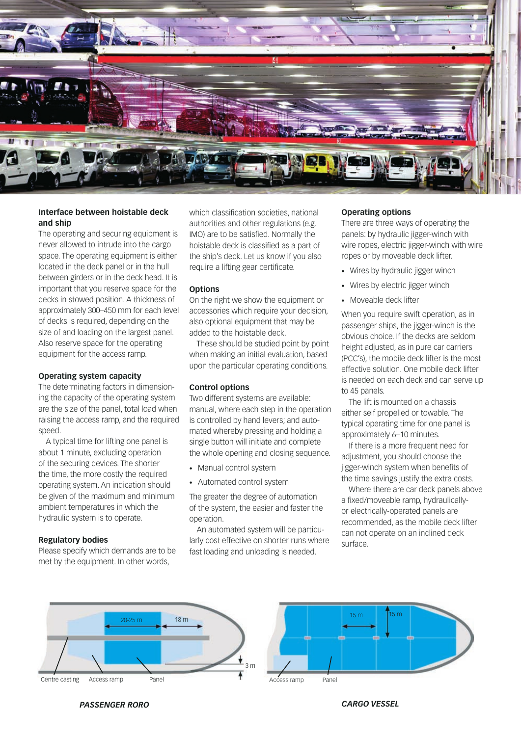

## **Interface between hoistable deck and ship**

The operating and securing equipment is never allowed to intrude into the cargo space. The operating equipment is either located in the deck panel or in the hull between girders or in the deck head. It is important that you reserve space for the decks in stowed position. A thickness of approximately 300–450 mm for each level of decks is required, depending on the size of and loading on the largest panel. Also reserve space for the operating equipment for the access ramp.

#### **Operating system capacity**

The determinating factors in dimensioning the capacity of the operating system are the size of the panel, total load when raising the access ramp, and the required speed.

A typical time for lifting one panel is about 1 minute, excluding operation of the securing devices. The shorter the time, the more costly the required operating system. An indication should be given of the maximum and minimum ambient temperatures in which the hydraulic system is to operate.

## **Regulatory bodies**

Please specify which demands are to be met by the equipment. In other words,

which classification societies, national authorities and other regulations (e.g. IMO) are to be satisfied. Normally the hoistable deck is classified as a part of the ship's deck. Let us know if you also require a lifting gear certificate.

#### **Options**

On the right we show the equipment or accessories which require your decision, also optional equipment that may be added to the hoistable deck.

These should be studied point by point when making an initial evaluation, based upon the particular operating conditions.

## **Control options**

Two different systems are available: manual, where each step in the operation is controlled by hand levers; and automated whereby pressing and holding a single button will initiate and complete the whole opening and closing sequence.

- Manual control system
- Automated control system

The greater the degree of automation of the system, the easier and faster the operation.

An automated system will be particularly cost effective on shorter runs where fast loading and unloading is needed.

## **Operating options**

There are three ways of operating the panels: by hydraulic jigger-winch with wire ropes, electric jigger-winch with wire ropes or by moveable deck lifter.

- Wires by hydraulic jigger winch
- Wires by electric jigger winch
- Moveable deck lifter

When you require swift operation, as in passenger ships, the jigger-winch is the obvious choice. If the decks are seldom height adjusted, as in pure car carriers (PCC's), the mobile deck lifter is the most effective solution. One mobile deck lifter is needed on each deck and can serve up to 45 panels.

The lift is mounted on a chassis either self propelled or towable. The typical operating time for one panel is approximately 6–10 minutes.

If there is a more frequent need for adjustment, you should choose the jigger-winch system when benefits of the time savings justify the extra costs.

Where there are car deck panels above a fixed/moveable ramp, hydraulicallyor electrically-operated panels are recommended, as the mobile deck lifter can not operate on an inclined deck surface.





*PASSENGER RORO CARGO VESSEL*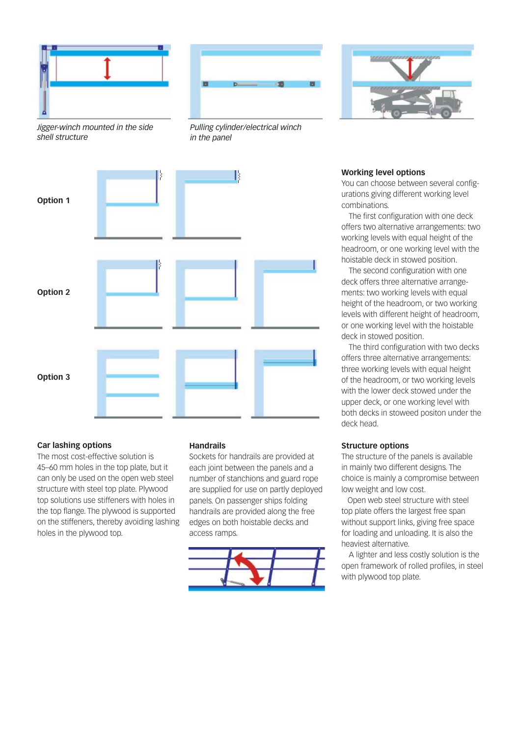





*Jigger-winch mounted in the side shell structure*

*Pulling cylinder/electrical winch in the panel*



## **Car lashing options**

The most cost-effective solution is 45–60 mm holes in the top plate, but it can only be used on the open web steel structure with steel top plate. Plywood top solutions use stiffeners with holes in the top flange. The plywood is supported on the stiffeners, thereby avoiding lashing holes in the plywood top.

## **Handrails**

Sockets for handrails are provided at each joint between the panels and a number of stanchions and guard rope are supplied for use on partly deployed panels. On passenger ships folding handrails are provided along the free edges on both hoistable decks and access ramps.



### **Working level options**

You can choose between several configurations giving different working level combinations.

The first configuration with one deck offers two alternative arrangements: two working levels with equal height of the headroom, or one working level with the hoistable deck in stowed position.

The second configuration with one deck offers three alternative arrangements: two working levels with equal height of the headroom, or two working levels with different height of headroom, or one working level with the hoistable deck in stowed position.

The third configuration with two decks offers three alternative arrangements: three working levels with equal height of the headroom, or two working levels with the lower deck stowed under the upper deck, or one working level with both decks in stoweed positon under the deck head.

## **Structure options**

The structure of the panels is available in mainly two different designs. The choice is mainly a compromise between low weight and low cost.

 Open web steel structure with steel top plate offers the largest free span without support links, giving free space for loading and unloading. It is also the heaviest alternative.

A lighter and less costly solution is the open framework of rolled profiles, in steel with plywood top plate.